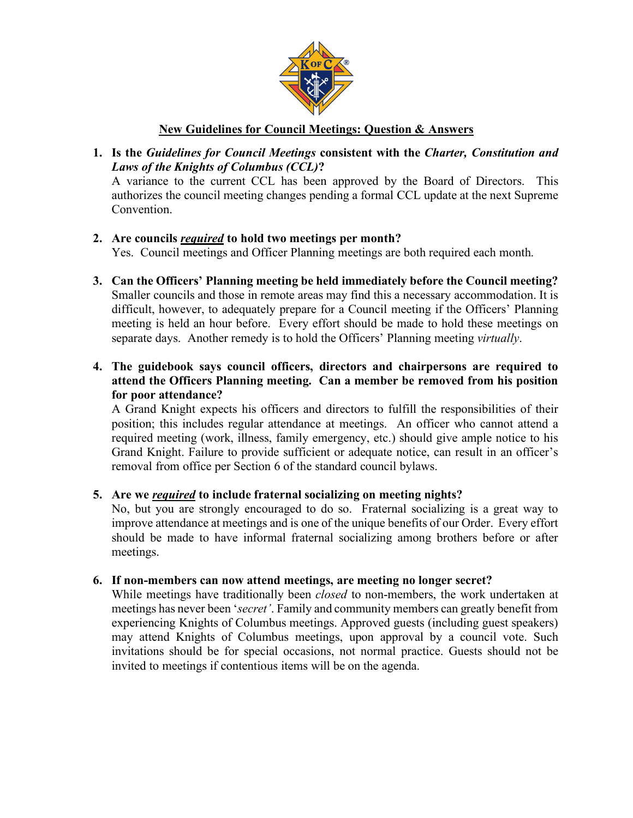

# **New Guidelines for Council Meetings: Question & Answers**

**1. Is the** *Guidelines for Council Meetings* **consistent with the** *Charter, Constitution and Laws of the Knights of Columbus (CCL)***?**

A variance to the current CCL has been approved by the Board of Directors. This authorizes the council meeting changes pending a formal CCL update at the next Supreme Convention.

**2. Are councils** *required* **to hold two meetings per month?**

Yes. Council meetings and Officer Planning meetings are both required each month.

- **3. Can the Officers' Planning meeting be held immediately before the Council meeting?** Smaller councils and those in remote areas may find this a necessary accommodation. It is difficult, however, to adequately prepare for a Council meeting if the Officers' Planning meeting is held an hour before. Every effort should be made to hold these meetings on separate days. Another remedy is to hold the Officers' Planning meeting *virtually*.
- **4. The guidebook says council officers, directors and chairpersons are required to attend the Officers Planning meeting. Can a member be removed from his position for poor attendance?**

A Grand Knight expects his officers and directors to fulfill the responsibilities of their position; this includes regular attendance at meetings. An officer who cannot attend a required meeting (work, illness, family emergency, etc.) should give ample notice to his Grand Knight. Failure to provide sufficient or adequate notice, can result in an officer's removal from office per Section 6 of the standard council bylaws.

## **5. Are we** *required* **to include fraternal socializing on meeting nights?**

No, but you are strongly encouraged to do so. Fraternal socializing is a great way to improve attendance at meetings and is one of the unique benefits of our Order. Every effort should be made to have informal fraternal socializing among brothers before or after meetings.

## **6. If non-members can now attend meetings, are meeting no longer secret?**

While meetings have traditionally been *closed* to non-members, the work undertaken at meetings has never been '*secret'*. Family and community members can greatly benefit from experiencing Knights of Columbus meetings. Approved guests (including guest speakers) may attend Knights of Columbus meetings, upon approval by a council vote. Such invitations should be for special occasions, not normal practice. Guests should not be invited to meetings if contentious items will be on the agenda.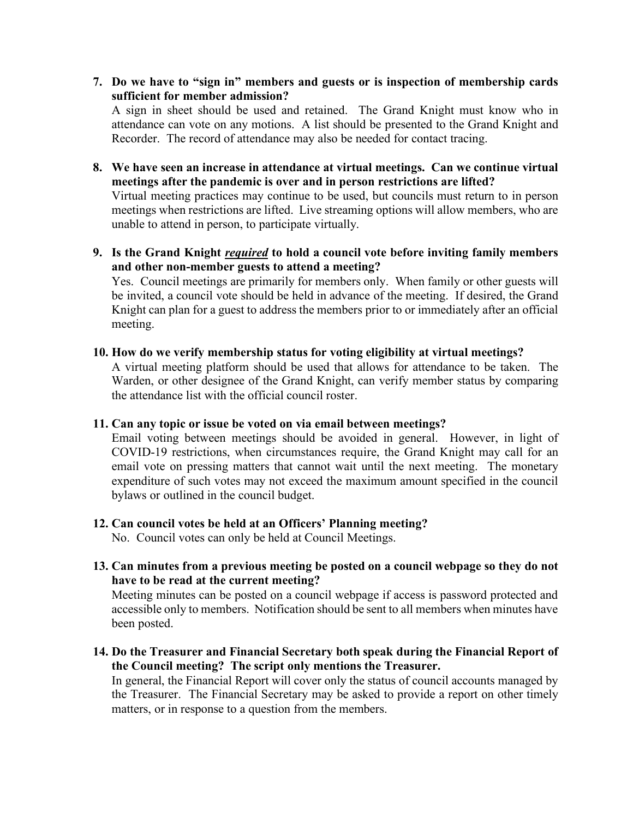**7. Do we have to "sign in" members and guests or is inspection of membership cards sufficient for member admission?**

A sign in sheet should be used and retained. The Grand Knight must know who in attendance can vote on any motions. A list should be presented to the Grand Knight and Recorder. The record of attendance may also be needed for contact tracing.

**8. We have seen an increase in attendance at virtual meetings. Can we continue virtual meetings after the pandemic is over and in person restrictions are lifted?**

Virtual meeting practices may continue to be used, but councils must return to in person meetings when restrictions are lifted. Live streaming options will allow members, who are unable to attend in person, to participate virtually.

**9. Is the Grand Knight** *required* **to hold a council vote before inviting family members and other non-member guests to attend a meeting?**

Yes. Council meetings are primarily for members only. When family or other guests will be invited, a council vote should be held in advance of the meeting. If desired, the Grand Knight can plan for a guest to address the members prior to or immediately after an official meeting.

**10. How do we verify membership status for voting eligibility at virtual meetings?** 

A virtual meeting platform should be used that allows for attendance to be taken. The Warden, or other designee of the Grand Knight, can verify member status by comparing the attendance list with the official council roster.

#### **11. Can any topic or issue be voted on via email between meetings?**

Email voting between meetings should be avoided in general. However, in light of COVID-19 restrictions, when circumstances require, the Grand Knight may call for an email vote on pressing matters that cannot wait until the next meeting. The monetary expenditure of such votes may not exceed the maximum amount specified in the council bylaws or outlined in the council budget.

## **12. Can council votes be held at an Officers' Planning meeting?**

No. Council votes can only be held at Council Meetings.

**13. Can minutes from a previous meeting be posted on a council webpage so they do not have to be read at the current meeting?**

Meeting minutes can be posted on a council webpage if access is password protected and accessible only to members. Notification should be sent to all members when minutes have been posted.

**14. Do the Treasurer and Financial Secretary both speak during the Financial Report of the Council meeting? The script only mentions the Treasurer.**

In general, the Financial Report will cover only the status of council accounts managed by the Treasurer. The Financial Secretary may be asked to provide a report on other timely matters, or in response to a question from the members.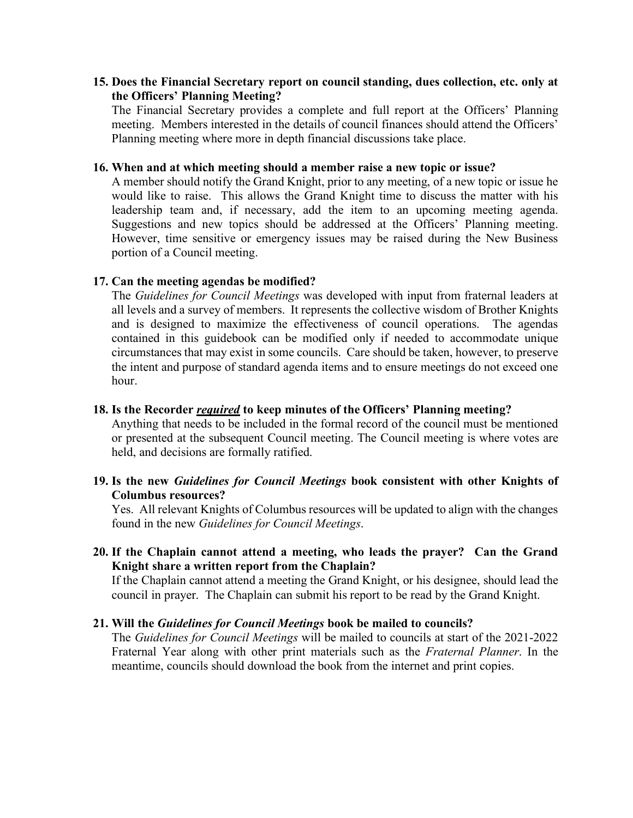## **15. Does the Financial Secretary report on council standing, dues collection, etc. only at the Officers' Planning Meeting?**

The Financial Secretary provides a complete and full report at the Officers' Planning meeting. Members interested in the details of council finances should attend the Officers' Planning meeting where more in depth financial discussions take place.

### **16. When and at which meeting should a member raise a new topic or issue?**

A member should notify the Grand Knight, prior to any meeting, of a new topic or issue he would like to raise. This allows the Grand Knight time to discuss the matter with his leadership team and, if necessary, add the item to an upcoming meeting agenda. Suggestions and new topics should be addressed at the Officers' Planning meeting. However, time sensitive or emergency issues may be raised during the New Business portion of a Council meeting.

## **17. Can the meeting agendas be modified?**

The *Guidelines for Council Meetings* was developed with input from fraternal leaders at all levels and a survey of members. It represents the collective wisdom of Brother Knights and is designed to maximize the effectiveness of council operations. The agendas contained in this guidebook can be modified only if needed to accommodate unique circumstances that may exist in some councils. Care should be taken, however, to preserve the intent and purpose of standard agenda items and to ensure meetings do not exceed one hour.

## **18. Is the Recorder** *required* **to keep minutes of the Officers' Planning meeting?**

Anything that needs to be included in the formal record of the council must be mentioned or presented at the subsequent Council meeting. The Council meeting is where votes are held, and decisions are formally ratified.

## **19. Is the new** *Guidelines for Council Meetings* **book consistent with other Knights of Columbus resources?**

Yes. All relevant Knights of Columbus resources will be updated to align with the changes found in the new *Guidelines for Council Meetings*.

## **20. If the Chaplain cannot attend a meeting, who leads the prayer? Can the Grand Knight share a written report from the Chaplain?**

If the Chaplain cannot attend a meeting the Grand Knight, or his designee, should lead the council in prayer. The Chaplain can submit his report to be read by the Grand Knight.

## **21. Will the** *Guidelines for Council Meetings* **book be mailed to councils?**

The *Guidelines for Council Meetings* will be mailed to councils at start of the 2021-2022 Fraternal Year along with other print materials such as the *Fraternal Planner*. In the meantime, councils should download the book from the internet and print copies.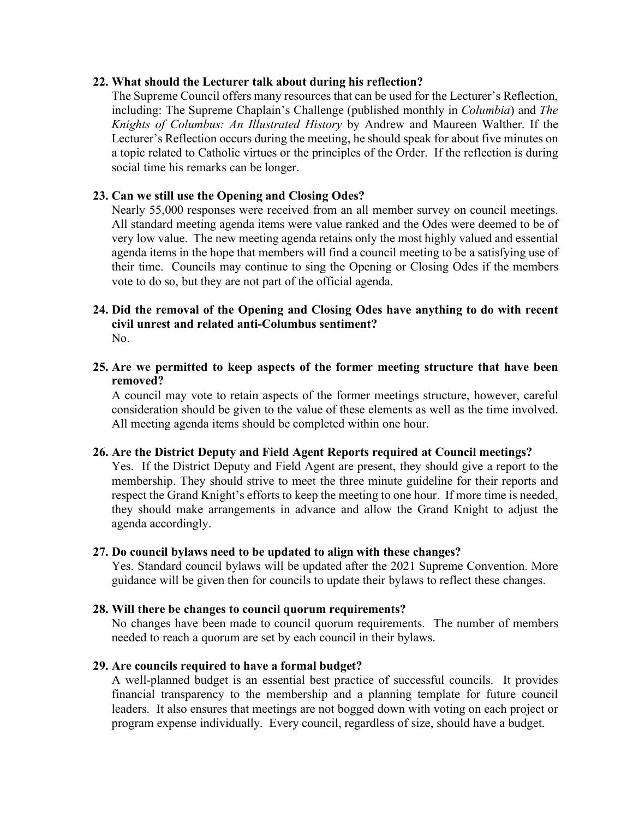### **22. What should the Lecturer talk about during his reflection?**

The Supreme Council offers many resources that can be used for the Lecturer's Reflection, including: The Supreme Chaplain's Challenge (published monthly in *Columbia*) and *The Knights of Columbus: An Illustrated History* by Andrew and Maureen Walther. If the Lecturer's Reflection occurs during the meeting, he should speak for about five minutes on a topic related to Catholic virtues or the principles of the Order. If the reflection is during social time his remarks can be longer.

## **23. Can we still use the Opening and Closing Odes?**

Nearly 55,000 responses were received from an all member survey on council meetings. All standard meeting agenda items were value ranked and the Odes were deemed to be of very low value. The new meeting agenda retains only the most highly valued and essential agenda items in the hope that members will find a council meeting to be a satisfying use of their time. Councils may continue to sing the Opening or Closing Odes if the members vote to do so, but they are not part of the official agenda.

#### **24. Did the removal of the Opening and Closing Odes have anything to do with recent civil unrest and related anti-Columbus sentiment?** No.

## **25. Are we permitted to keep aspects of the former meeting structure that have been removed?**

A council may vote to retain aspects of the former meetings structure, however, careful consideration should be given to the value of these elements as well as the time involved. All meeting agenda items should be completed within one hour.

## **26. Are the District Deputy and Field Agent Reports required at Council meetings?**

Yes. If the District Deputy and Field Agent are present, they should give a report to the membership. They should strive to meet the three minute guideline for their reports and respect the Grand Knight's efforts to keep the meeting to one hour. If more time is needed, they should make arrangements in advance and allow the Grand Knight to adjust the agenda accordingly.

## **27. Do council bylaws need to be updated to align with these changes?**

Yes. Standard council bylaws will be updated after the 2021 Supreme Convention. More guidance will be given then for councils to update their bylaws to reflect these changes.

## **28. Will there be changes to council quorum requirements?**

No changes have been made to council quorum requirements. The number of members needed to reach a quorum are set by each council in their bylaws.

## **29. Are councils required to have a formal budget?**

A well-planned budget is an essential best practice of successful councils. It provides financial transparency to the membership and a planning template for future council leaders. It also ensures that meetings are not bogged down with voting on each project or program expense individually. Every council, regardless of size, should have a budget.